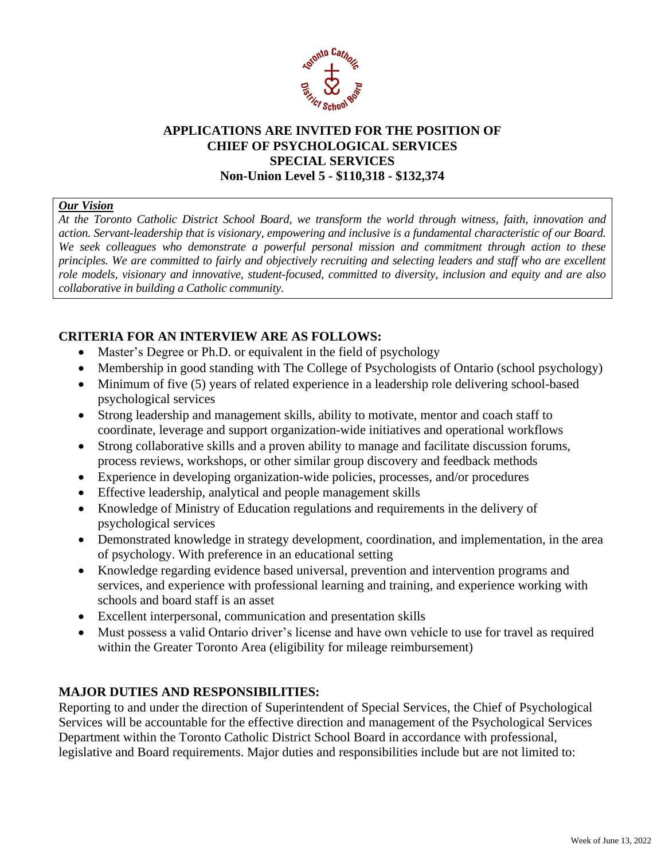

# **APPLICATIONS ARE INVITED FOR THE POSITION OF CHIEF OF PSYCHOLOGICAL SERVICES SPECIAL SERVICES Non-Union Level 5 - \$110,318 - \$132,374**

#### *Our Vision*

*At the Toronto Catholic District School Board, we transform the world through witness, faith, innovation and action. Servant-leadership that is visionary, empowering and inclusive is a fundamental characteristic of our Board. We seek colleagues who demonstrate a powerful personal mission and commitment through action to these principles. We are committed to fairly and objectively recruiting and selecting leaders and staff who are excellent role models, visionary and innovative, student-focused, committed to diversity, inclusion and equity and are also collaborative in building a Catholic community.*

# **CRITERIA FOR AN INTERVIEW ARE AS FOLLOWS:**

- Master's Degree or Ph.D. or equivalent in the field of psychology
- Membership in good standing with The College of Psychologists of Ontario (school psychology)
- Minimum of five (5) years of related experience in a leadership role delivering school-based psychological services
- Strong leadership and management skills, ability to motivate, mentor and coach staff to coordinate, leverage and support organization-wide initiatives and operational workflows
- Strong collaborative skills and a proven ability to manage and facilitate discussion forums, process reviews, workshops, or other similar group discovery and feedback methods
- Experience in developing organization-wide policies, processes, and/or procedures
- Effective leadership, analytical and people management skills
- Knowledge of Ministry of Education regulations and requirements in the delivery of psychological services
- Demonstrated knowledge in strategy development, coordination, and implementation, in the area of psychology. With preference in an educational setting
- Knowledge regarding evidence based universal, prevention and intervention programs and services, and experience with professional learning and training, and experience working with schools and board staff is an asset
- Excellent interpersonal, communication and presentation skills
- Must possess a valid Ontario driver's license and have own vehicle to use for travel as required within the Greater Toronto Area (eligibility for mileage reimbursement)

# **MAJOR DUTIES AND RESPONSIBILITIES:**

Reporting to and under the direction of Superintendent of Special Services, the Chief of Psychological Services will be accountable for the effective direction and management of the Psychological Services Department within the Toronto Catholic District School Board in accordance with professional, legislative and Board requirements. Major duties and responsibilities include but are not limited to: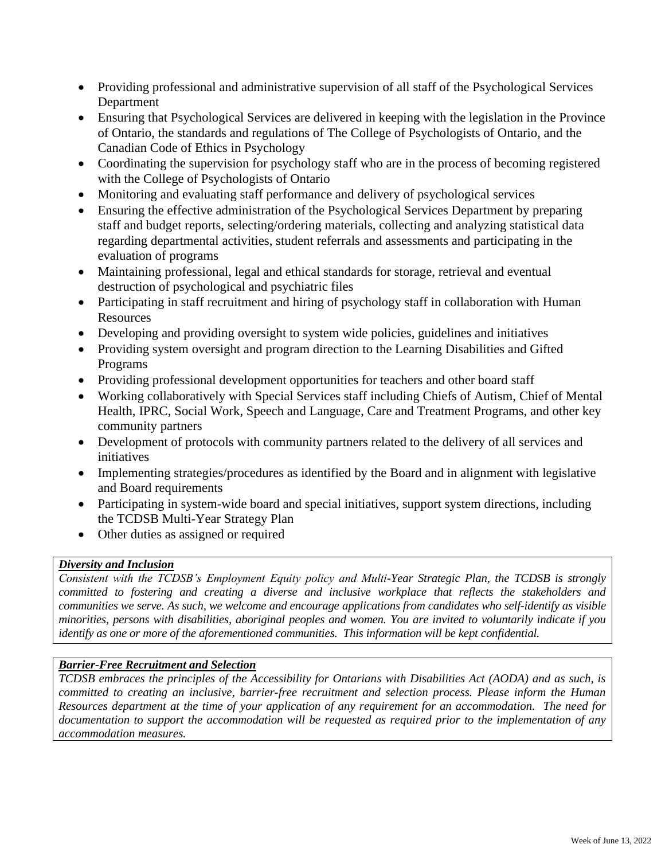- Providing professional and administrative supervision of all staff of the Psychological Services Department
- Ensuring that Psychological Services are delivered in keeping with the legislation in the Province of Ontario, the standards and regulations of The College of Psychologists of Ontario, and the Canadian Code of Ethics in Psychology
- Coordinating the supervision for psychology staff who are in the process of becoming registered with the College of Psychologists of Ontario
- Monitoring and evaluating staff performance and delivery of psychological services
- Ensuring the effective administration of the Psychological Services Department by preparing staff and budget reports, selecting/ordering materials, collecting and analyzing statistical data regarding departmental activities, student referrals and assessments and participating in the evaluation of programs
- Maintaining professional, legal and ethical standards for storage, retrieval and eventual destruction of psychological and psychiatric files
- Participating in staff recruitment and hiring of psychology staff in collaboration with Human Resources
- Developing and providing oversight to system wide policies, guidelines and initiatives
- Providing system oversight and program direction to the Learning Disabilities and Gifted Programs
- Providing professional development opportunities for teachers and other board staff
- Working collaboratively with Special Services staff including Chiefs of Autism, Chief of Mental Health, IPRC, Social Work, Speech and Language, Care and Treatment Programs, and other key community partners
- Development of protocols with community partners related to the delivery of all services and initiatives
- Implementing strategies/procedures as identified by the Board and in alignment with legislative and Board requirements
- Participating in system-wide board and special initiatives, support system directions, including the TCDSB Multi-Year Strategy Plan
- Other duties as assigned or required

#### *Diversity and Inclusion*

*Consistent with the TCDSB's Employment Equity policy and Multi-Year Strategic Plan, the TCDSB is strongly committed to fostering and creating a diverse and inclusive workplace that reflects the stakeholders and communities we serve. As such, we welcome and encourage applications from candidates who self-identify as visible minorities, persons with disabilities, aboriginal peoples and women. You are invited to voluntarily indicate if you identify as one or more of the aforementioned communities. This information will be kept confidential.*

#### *Barrier-Free Recruitment and Selection*

*TCDSB embraces the principles of the Accessibility for Ontarians with Disabilities Act (AODA) and as such, is committed to creating an inclusive, barrier-free recruitment and selection process. Please inform the Human Resources department at the time of your application of any requirement for an accommodation. The need for documentation to support the accommodation will be requested as required prior to the implementation of any accommodation measures.*